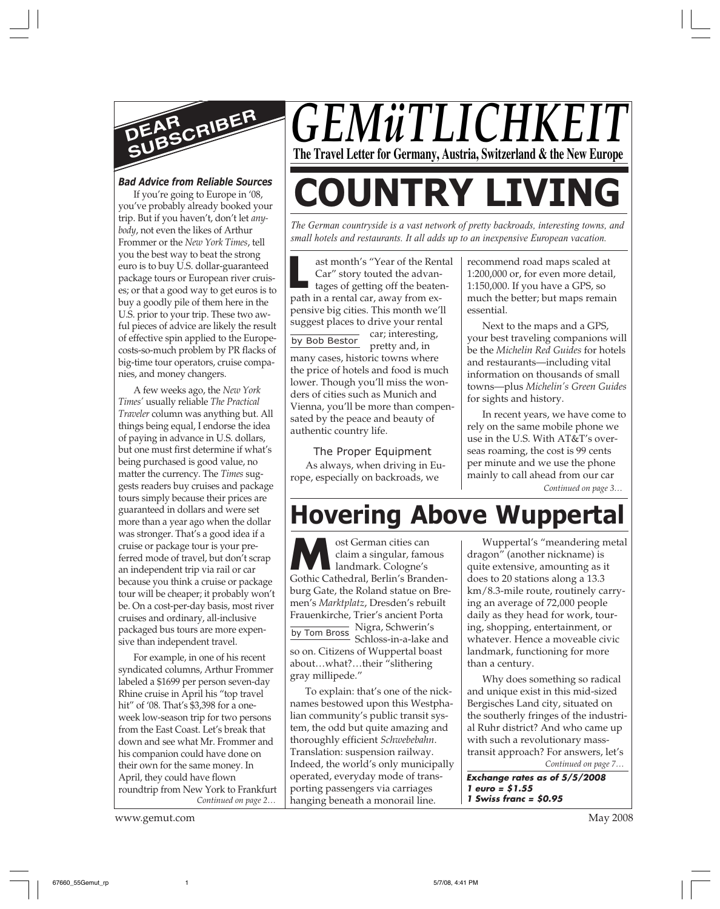

# *Bad Advice from Reliable Sources*

If you're going to Europe in '08, you've probably already booked your trip. But if you haven't, don't let *anybody*, not even the likes of Arthur Frommer or the *New York Times*, tell you the best way to beat the strong euro is to buy U.S. dollar-guaranteed package tours or European river cruises; or that a good way to get euros is to buy a goodly pile of them here in the U.S. prior to your trip. These two awful pieces of advice are likely the result of effective spin applied to the Europecosts-so-much problem by PR flacks of big-time tour operators, cruise companies, and money changers.

A few weeks ago, the *New York Times'* usually reliable *The Practical Traveler* column was anything but. All things being equal, I endorse the idea of paying in advance in U.S. dollars, but one must first determine if what's being purchased is good value, no matter the currency. The *Times* suggests readers buy cruises and package tours simply because their prices are guaranteed in dollars and were set more than a year ago when the dollar was stronger. That's a good idea if a cruise or package tour is your preferred mode of travel, but don't scrap an independent trip via rail or car because you think a cruise or package tour will be cheaper; it probably won't be. On a cost-per-day basis, most river cruises and ordinary, all-inclusive packaged bus tours are more expensive than independent travel.

*Continued on page 2…* For example, in one of his recent syndicated columns, Arthur Frommer labeled a \$1699 per person seven-day Rhine cruise in April his "top travel hit" of '08. That's \$3,398 for a oneweek low-season trip for two persons from the East Coast. Let's break that down and see what Mr. Frommer and his companion could have done on their own for the same money. In April, they could have flown roundtrip from New York to Frankfurt

www.gemut.com May 2008

*GEMüTLICHKI* **The Travel Letter for Germany, Austria, Switzerland & the New Europe**

# **COUNTRY LIVING**

*The German countryside is a vast network of pretty backroads, interesting towns, and small hotels and restaurants. It all adds up to an inexpensive European vacation.*

**L**<br>Path by Bob Bestor ast month's "Year of the Rental Car" story touted the advantages of getting off the beatenpath in a rental car, away from expensive big cities. This month we'll suggest places to drive your rental car; interesting, pretty and, in many cases, historic towns where the price of hotels and food is much lower. Though you'll miss the wonders of cities such as Munich and Vienna, you'll be more than compensated by the peace and beauty of

The Proper Equipment As always, when driving in Europe, especially on backroads, we

authentic country life.

recommend road maps scaled at 1:200,000 or, for even more detail, 1:150,000. If you have a GPS, so much the better; but maps remain essential.

Next to the maps and a GPS, your best traveling companions will be the *Michelin Red Guides* for hotels and restaurants—including vital information on thousands of small towns—plus *Michelin's Green Guides* for sights and history.

In recent years, we have come to rely on the same mobile phone we use in the U.S. With AT&T's overseas roaming, the cost is 99 cents per minute and we use the phone mainly to call ahead from our car

*Continued on page 3…*

# **Hovering Above Wuppertal**

**MA**Gothic Maxim a singular, famous<br>
and a singular, famous<br>
Gothic Cathedral, Berlin's Brandenost German cities can claim a singular, famous landmark. Cologne's burg Gate, the Roland statue on Bremen's *Marktplatz*, Dresden's rebuilt Frauenkirche, Trier's ancient Porta Nigra, Schwerin's by Tom Bross Schloss-in-a-lake and so on. Citizens of Wuppertal boast about…what?…their "slithering gray millipede."

To explain: that's one of the nicknames bestowed upon this Westphalian community's public transit system, the odd but quite amazing and thoroughly efficient *Schwebebahn*. Translation: suspension railway. Indeed, the world's only municipally operated, everyday mode of transporting passengers via carriages hanging beneath a monorail line.

Wuppertal's "meandering metal dragon" (another nickname) is quite extensive, amounting as it does to 20 stations along a 13.3 km/8.3-mile route, routinely carrying an average of 72,000 people daily as they head for work, touring, shopping, entertainment, or whatever. Hence a moveable civic landmark, functioning for more than a century.

*Continued on page 7…* Why does something so radical and unique exist in this mid-sized Bergisches Land city, situated on the southerly fringes of the industrial Ruhr district? And who came up with such a revolutionary masstransit approach? For answers, let's

**Exchange rates as of 5/5/2008 1 euro = \$1.55 1 Swiss franc = \$0.95**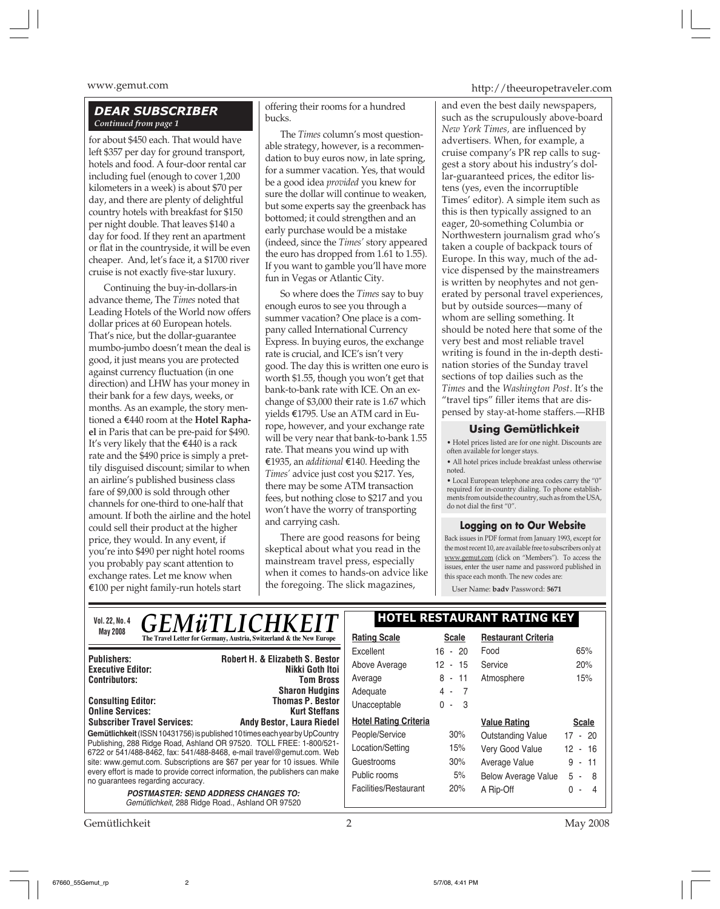# *DEAR SUBSCRIBER Continued from page 1*

for about \$450 each. That would have left \$357 per day for ground transport, hotels and food. A four-door rental car including fuel (enough to cover 1,200 kilometers in a week) is about \$70 per day, and there are plenty of delightful country hotels with breakfast for \$150 per night double. That leaves \$140 a day for food. If they rent an apartment or flat in the countryside, it will be even cheaper. And, let's face it, a \$1700 river cruise is not exactly five-star luxury.

Continuing the buy-in-dollars-in advance theme, The *Times* noted that Leading Hotels of the World now offers dollar prices at 60 European hotels. That's nice, but the dollar-guarantee mumbo-jumbo doesn't mean the deal is good, it just means you are protected against currency fluctuation (in one direction) and LHW has your money in their bank for a few days, weeks, or months. As an example, the story mentioned a E440 room at the **Hotel Raphael** in Paris that can be pre-paid for \$490. It's very likely that the  $\epsilon$ 440 is a rack rate and the \$490 price is simply a prettily disguised discount; similar to when an airline's published business class fare of \$9,000 is sold through other channels for one-third to one-half that amount. If both the airline and the hotel could sell their product at the higher price, they would. In any event, if you're into \$490 per night hotel rooms you probably pay scant attention to exchange rates. Let me know when  $E100$  per night family-run hotels start

offering their rooms for a hundred bucks.

The *Times* column's most questionable strategy, however, is a recommendation to buy euros now, in late spring, for a summer vacation. Yes, that would be a good idea *provided* you knew for sure the dollar will continue to weaken, but some experts say the greenback has bottomed; it could strengthen and an early purchase would be a mistake (indeed, since the *Times'* story appeared the euro has dropped from 1.61 to 1.55). If you want to gamble you'll have more fun in Vegas or Atlantic City.

So where does the *Times* say to buy enough euros to see you through a summer vacation? One place is a company called International Currency Express. In buying euros, the exchange rate is crucial, and ICE's isn't very good. The day this is written one euro is worth \$1.55, though you won't get that bank-to-bank rate with ICE. On an exchange of \$3,000 their rate is 1.67 which yields E1795. Use an ATM card in Europe, however, and your exchange rate will be very near that bank-to-bank 1.55 rate. That means you wind up with E1935, an *additional* E140. Heeding the *Times'* advice just cost you \$217. Yes, there may be some ATM transaction fees, but nothing close to \$217 and you won't have the worry of transporting and carrying cash.

There are good reasons for being skeptical about what you read in the mainstream travel press, especially when it comes to hands-on advice like the foregoing. The slick magazines,

www.gemut.com http://theeuropetraveler.com

and even the best daily newspapers, such as the scrupulously above-board *New York Times,* are influenced by advertisers. When, for example, a cruise company's PR rep calls to suggest a story about his industry's dollar-guaranteed prices, the editor listens (yes, even the incorruptible Times' editor). A simple item such as this is then typically assigned to an eager, 20-something Columbia or Northwestern journalism grad who's taken a couple of backpack tours of Europe. In this way, much of the advice dispensed by the mainstreamers is written by neophytes and not generated by personal travel experiences, but by outside sources—many of whom are selling something. It should be noted here that some of the very best and most reliable travel writing is found in the in-depth destination stories of the Sunday travel sections of top dailies such as the *Times* and the *Washington Post*. It's the "travel tips" filler items that are dispensed by stay-at-home staffers.—RHB

### **Using Gemütlichkeit**

• Hotel prices listed are for one night. Discounts are often available for longer stays.

• All hotel prices include breakfast unless otherwise noted.

 $\bullet$  Local European telephone area codes carry the "0" required for in-country dialing. To phone establishments from outside the country, such as from the USA, do not dial the first "0".

# **Logging on to Our Website**

Back issues in PDF format from January 1993, except for the most recent 10, are available free to subscribers only at www.gemut.com (click on "Members"). To access the issues, enter the user name and password published in this space each month. The new codes are:

User Name: **badv** Password: **5671**

| <i><b>GEMÜTLICHKEIT</b></i><br>Vol. 22, No. 4                                                                                                | <b>HOTEL RESTAURANT RATING KEY</b> |                       |                            |                            |
|----------------------------------------------------------------------------------------------------------------------------------------------|------------------------------------|-----------------------|----------------------------|----------------------------|
| <b>May 2008</b><br>The Travel Letter for Germany, Austria, Switzerland & the New Europe                                                      | <b>Rating Scale</b>                | <b>Scale</b>          | <b>Restaurant Criteria</b> |                            |
| Robert H. & Elizabeth S. Bestor<br><b>Publishers:</b>                                                                                        | Excellent<br>Above Average         | $16 - 20$<br>12 - 15  | Food<br>Service            | 65%<br>20%                 |
| Nikki Goth Itoi<br><b>Executive Editor:</b><br><b>Contributors:</b><br><b>Tom Bross</b>                                                      | Average                            | $8 - 11$              | Atmosphere                 | 15%                        |
| <b>Sharon Hudgins</b>                                                                                                                        | Adequate                           | $\overline{7}$<br>4 - |                            |                            |
| <b>Thomas P. Bestor</b><br><b>Consulting Editor:</b><br><b>Online Services:</b><br><b>Kurt Steffans</b>                                      | Unacceptable                       | $\Omega$<br>- 3       |                            |                            |
| <b>Subscriber Travel Services:</b><br><b>Andy Bestor, Laura Riedel</b>                                                                       | <b>Hotel Rating Criteria</b>       |                       | <b>Value Rating</b>        | <b>Scale</b>               |
| Gemütlichkeit (ISSN 10431756) is published 10 times each year by UpCountry                                                                   | People/Service                     | 30%                   | Outstanding Value          | $17 - 20$                  |
| Publishing, 288 Ridge Road, Ashland OR 97520. TOLL FREE: 1-800/521-<br>6722 or 541/488-8462, fax: 541/488-8468, e-mail travel@gemut.com. Web | Location/Setting                   | 15%                   | Very Good Value            | $12 - 16$                  |
| site: www.gemut.com. Subscriptions are \$67 per year for 10 issues. While                                                                    | Guestrooms                         | 30%                   | Average Value              | $9 - 11$                   |
| every effort is made to provide correct information, the publishers can make<br>no guarantees regarding accuracy.                            | Public rooms                       | 5%                    | <b>Below Average Value</b> | 5<br>-8<br>$\sim$ 10 $\pm$ |
| <b>POSTMASTER: SEND ADDRESS CHANGES TO:</b><br>Gemütlichkeit, 288 Ridge Road., Ashland OR 97520                                              | Facilities/Restaurant              | 20%                   | A Rip-Off                  | $\Omega$                   |

Gemütlichkeit 2 May 2008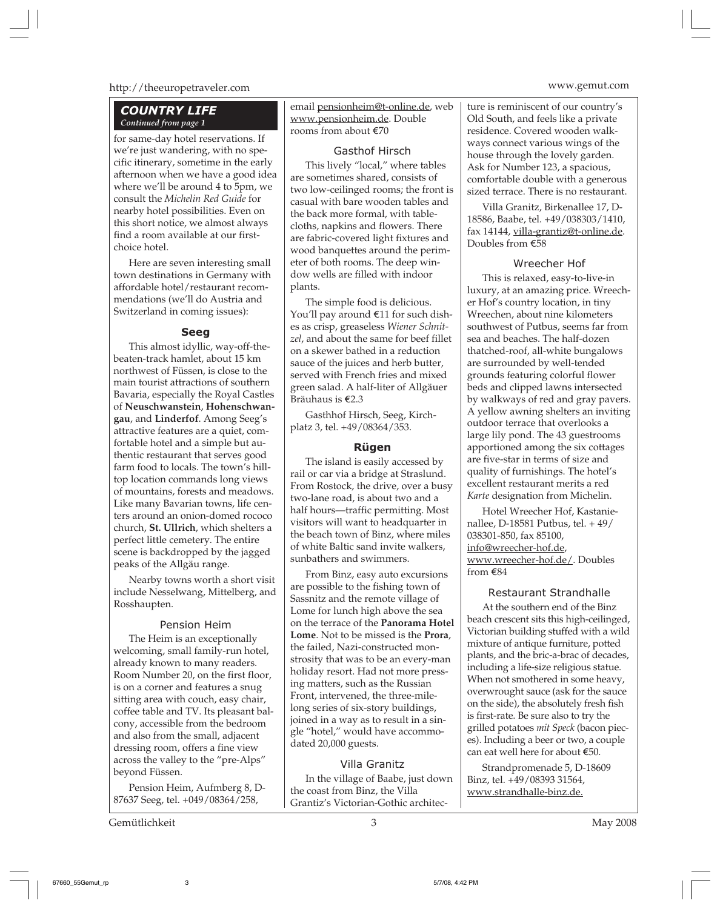# http://theeuropetraveler.com www.gemut.com

# *COUNTRY LIFE Continued from page 1*

for same-day hotel reservations. If we're just wandering, with no specific itinerary, sometime in the early afternoon when we have a good idea where we'll be around 4 to 5pm, we consult the *Michelin Red Guide* for nearby hotel possibilities. Even on this short notice, we almost always find a room available at our firstchoice hotel.

Here are seven interesting small town destinations in Germany with affordable hotel/restaurant recommendations (we'll do Austria and Switzerland in coming issues):

# **Seeg**

This almost idyllic, way-off-thebeaten-track hamlet, about 15 km northwest of Füssen, is close to the main tourist attractions of southern Bavaria, especially the Royal Castles of **Neuschwanstein**, **Hohenschwangau**, and **Linderfof**. Among Seeg's attractive features are a quiet, comfortable hotel and a simple but authentic restaurant that serves good farm food to locals. The town's hilltop location commands long views of mountains, forests and meadows. Like many Bavarian towns, life centers around an onion-domed rococo church, **St. Ullrich**, which shelters a perfect little cemetery. The entire scene is backdropped by the jagged peaks of the Allgäu range.

Nearby towns worth a short visit include Nesselwang, Mittelberg, and Rosshaupten.

# Pension Heim

The Heim is an exceptionally welcoming, small family-run hotel, already known to many readers. Room Number 20, on the first floor, is on a corner and features a snug sitting area with couch, easy chair, coffee table and TV. Its pleasant balcony, accessible from the bedroom and also from the small, adjacent dressing room, offers a fine view across the valley to the "pre-Alps" beyond Füssen.

Pension Heim, Aufmberg 8, D-87637 Seeg, tel. +049/08364/258,

Gemütlichkeit 3 May 2008

email pensionheim@t-online.de, web www.pensionheim.de. Double rooms from about E70

#### Gasthof Hirsch

This lively "local," where tables are sometimes shared, consists of two low-ceilinged rooms; the front is casual with bare wooden tables and the back more formal, with tablecloths, napkins and flowers. There are fabric-covered light fixtures and wood banquettes around the perimeter of both rooms. The deep window wells are filled with indoor plants.

The simple food is delicious. You'll pay around E11 for such dishes as crisp, greaseless *Wiener Schnitzel*, and about the same for beef fillet on a skewer bathed in a reduction sauce of the juices and herb butter, served with French fries and mixed green salad. A half-liter of Allgäuer Bräuhaus is E2.3

Gasthhof Hirsch, Seeg, Kirchplatz 3, tel. +49/08364/353.

# **Rügen**

The island is easily accessed by rail or car via a bridge at Straslund. From Rostock, the drive, over a busy two-lane road, is about two and a half hours—traffic permitting. Most visitors will want to headquarter in the beach town of Binz, where miles of white Baltic sand invite walkers, sunbathers and swimmers.

From Binz, easy auto excursions are possible to the fishing town of Sassnitz and the remote village of Lome for lunch high above the sea on the terrace of the **Panorama Hotel Lome**. Not to be missed is the **Prora**, the failed, Nazi-constructed monstrosity that was to be an every-man holiday resort. Had not more pressing matters, such as the Russian Front, intervened, the three-milelong series of six-story buildings, joined in a way as to result in a single "hotel," would have accommodated 20,000 guests.

# Villa Granitz

In the village of Baabe, just down the coast from Binz, the Villa Grantiz's Victorian-Gothic architecture is reminiscent of our country's Old South, and feels like a private residence. Covered wooden walkways connect various wings of the house through the lovely garden. Ask for Number 123, a spacious, comfortable double with a generous sized terrace. There is no restaurant.

Villa Granitz, Birkenallee 17, D-18586, Baabe, tel. +49/038303/1410, fax 14144, villa-grantiz@t-online.de. Doubles from E58

### Wreecher Hof

This is relaxed, easy-to-live-in luxury, at an amazing price. Wreecher Hof's country location, in tiny Wreechen, about nine kilometers southwest of Putbus, seems far from sea and beaches. The half-dozen thatched-roof, all-white bungalows are surrounded by well-tended grounds featuring colorful flower beds and clipped lawns intersected by walkways of red and gray pavers. A yellow awning shelters an inviting outdoor terrace that overlooks a large lily pond. The 43 guestrooms apportioned among the six cottages are five-star in terms of size and quality of furnishings. The hotel's excellent restaurant merits a red *Karte* designation from Michelin.

Hotel Wreecher Hof, Kastanienallee, D-18581 Putbus, tel. + 49/ 038301-850, fax 85100, info@wreecher-hof.de, www.wreecher-hof.de/. Doubles from E84

# Restaurant Strandhalle

At the southern end of the Binz beach crescent sits this high-ceilinged, Victorian building stuffed with a wild mixture of antique furniture, potted plants, and the bric-a-brac of decades, including a life-size religious statue. When not smothered in some heavy, overwrought sauce (ask for the sauce on the side), the absolutely fresh fish is first-rate. Be sure also to try the grilled potatoes *mit Speck* (bacon pieces). Including a beer or two, a couple can eat well here for about €50.

Strandpromenade 5, D-18609 Binz, tel. +49/08393 31564, www.strandhalle-binz.de.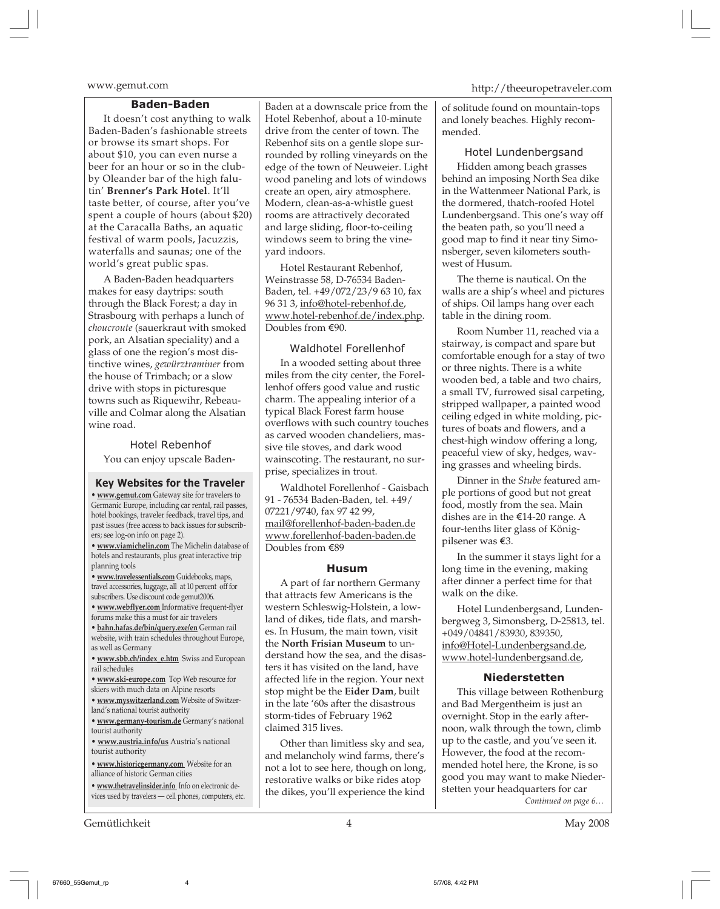#### **Baden-Baden**

It doesn't cost anything to walk Baden-Baden's fashionable streets or browse its smart shops. For about \$10, you can even nurse a beer for an hour or so in the clubby Oleander bar of the high falutin' **Brenner's Park Hotel**. It'll taste better, of course, after you've spent a couple of hours (about \$20) at the Caracalla Baths, an aquatic festival of warm pools, Jacuzzis, waterfalls and saunas; one of the world's great public spas.

A Baden-Baden headquarters makes for easy daytrips: south through the Black Forest; a day in Strasbourg with perhaps a lunch of *choucroute* (sauerkraut with smoked pork, an Alsatian speciality) and a glass of one the region's most distinctive wines, *gewürztraminer* from the house of Trimbach; or a slow drive with stops in picturesque towns such as Riquewihr, Rebeauville and Colmar along the Alsatian wine road.

Hotel Rebenhof You can enjoy upscale Baden-

#### **Key Websites for the Traveler**

**• www.gemut.com** Gateway site for travelers to Germanic Europe, including car rental, rail passes, hotel bookings, traveler feedback, travel tips, and past issues (free access to back issues for subscribers; see log-on info on page 2).

**• www.viamichelin.com** The Michelin database of hotels and restaurants, plus great interactive trip planning tools

**• www.travelessentials.com** Guidebooks, maps, travel accessories, luggage, all at 10 percent off for subscribers. Use discount code gemut2006.

**• www.webflyer.com** Informative frequent-flyer forums make this a must for air travelers

**• bahn.hafas.de/bin/query.exe/en** German rail website, with train schedules throughout Europe, as well as Germany

**• www.sbb.ch/index\_e.htm** Swiss and European rail schedules

- **www.ski-europe.com** Top Web resource for
- skiers with much data on Alpine resorts

**• www.myswitzerland.com** Website of Switzerland's national tourist authority

**• www.germany-tourism.de** Germany's national tourist authority

**• www.austria.info/us** Austria's national tourist authority

**• www.historicgermany.com** Website for an alliance of historic German cities

**• www.thetravelinsider.info** Info on electronic devices used by travelers — cell phones, computers, etc.

Gemütlichkeit 4 May 2008

Baden at a downscale price from the Hotel Rebenhof, about a 10-minute drive from the center of town. The Rebenhof sits on a gentle slope surrounded by rolling vineyards on the edge of the town of Neuweier. Light wood paneling and lots of windows create an open, airy atmosphere. Modern, clean-as-a-whistle guest rooms are attractively decorated and large sliding, floor-to-ceiling windows seem to bring the vineyard indoors.

Hotel Restaurant Rebenhof, Weinstrasse 58, D-76534 Baden-Baden, tel. +49/072/23/9 63 10, fax 96 31 3, info@hotel-rebenhof.de, www.hotel-rebenhof.de/index.php. Doubles from €90.

# Waldhotel Forellenhof

In a wooded setting about three miles from the city center, the Forellenhof offers good value and rustic charm. The appealing interior of a typical Black Forest farm house overflows with such country touches as carved wooden chandeliers, massive tile stoves, and dark wood wainscoting. The restaurant, no surprise, specializes in trout.

Waldhotel Forellenhof - Gaisbach 91 - 76534 Baden-Baden, tel. +49/ 07221/9740, fax 97 42 99, mail@forellenhof-baden-baden.de www.forellenhof-baden-baden.de Doubles from E89

#### **Husum**

A part of far northern Germany that attracts few Americans is the western Schleswig-Holstein, a lowland of dikes, tide flats, and marshes. In Husum, the main town, visit the **North Frisian Museum** to understand how the sea, and the disasters it has visited on the land, have affected life in the region. Your next stop might be the **Eider Dam**, built in the late '60s after the disastrous storm-tides of February 1962 claimed 315 lives.

Other than limitless sky and sea, and melancholy wind farms, there's not a lot to see here, though on long, restorative walks or bike rides atop the dikes, you'll experience the kind

www.gemut.com http://theeuropetraveler.com

of solitude found on mountain-tops and lonely beaches. Highly recommended.

Hotel Lundenbergsand Hidden among beach grasses behind an imposing North Sea dike in the Wattenmeer National Park, is the dormered, thatch-roofed Hotel Lundenbergsand. This one's way off the beaten path, so you'll need a good map to find it near tiny Simonsberger, seven kilometers southwest of Husum.

The theme is nautical. On the walls are a ship's wheel and pictures of ships. Oil lamps hang over each table in the dining room.

Room Number 11, reached via a stairway, is compact and spare but comfortable enough for a stay of two or three nights. There is a white wooden bed, a table and two chairs, a small TV, furrowed sisal carpeting, stripped wallpaper, a painted wood ceiling edged in white molding, pictures of boats and flowers, and a chest-high window offering a long, peaceful view of sky, hedges, waving grasses and wheeling birds.

Dinner in the *Stube* featured ample portions of good but not great food, mostly from the sea. Main dishes are in the  $E$ 14-20 range. A four-tenths liter glass of Königpilsener was E3.

In the summer it stays light for a long time in the evening, making after dinner a perfect time for that walk on the dike.

Hotel Lundenbergsand, Lundenbergweg 3, Simonsberg, D-25813, tel. +049/04841/83930, 839350, info@Hotel-Lundenbergsand.de, www.hotel-lundenbergsand.de,

#### **Niederstetten**

This village between Rothenburg and Bad Mergentheim is just an overnight. Stop in the early afternoon, walk through the town, climb up to the castle, and you've seen it. However, the food at the recommended hotel here, the Krone, is so good you may want to make Niederstetten your headquarters for car *Continued on page 6…*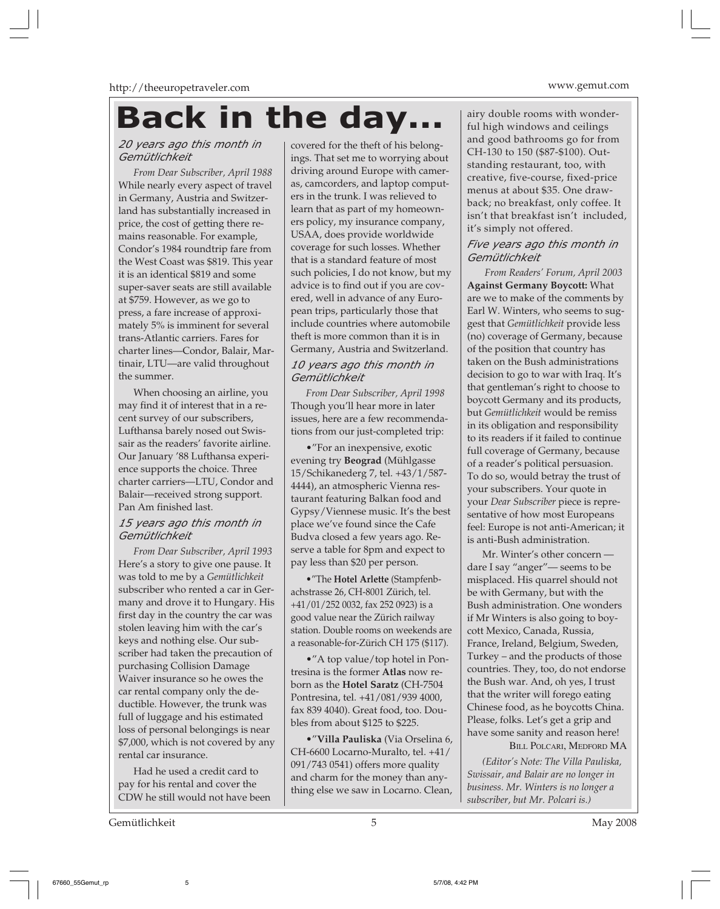# **Back in the day...**

# *20 years ago this month in Gemütlichkeit*

*From Dear Subscriber, April 1988* While nearly every aspect of travel in Germany, Austria and Switzerland has substantially increased in price, the cost of getting there remains reasonable. For example, Condor's 1984 roundtrip fare from the West Coast was \$819. This year it is an identical \$819 and some super-saver seats are still available at \$759. However, as we go to press, a fare increase of approximately 5% is imminent for several trans-Atlantic carriers. Fares for charter lines—Condor, Balair, Martinair, LTU—are valid throughout the summer.

When choosing an airline, you may find it of interest that in a recent survey of our subscribers, Lufthansa barely nosed out Swissair as the readers' favorite airline. Our January '88 Lufthansa experience supports the choice. Three charter carriers—LTU, Condor and Balair—received strong support. Pan Am finished last.

# *15 years ago this month in Gemütlichkeit*

*From Dear Subscriber, April 1993* Here's a story to give one pause. It was told to me by a *Gemütlichkeit* subscriber who rented a car in Germany and drove it to Hungary. His first day in the country the car was stolen leaving him with the car's keys and nothing else. Our subscriber had taken the precaution of purchasing Collision Damage Waiver insurance so he owes the car rental company only the deductible. However, the trunk was full of luggage and his estimated loss of personal belongings is near \$7,000, which is not covered by any rental car insurance.

Had he used a credit card to pay for his rental and cover the CDW he still would not have been

Gemütlichkeit 5 May 2008

covered for the theft of his belongings. That set me to worrying about driving around Europe with cameras, camcorders, and laptop computers in the trunk. I was relieved to learn that as part of my homeowners policy, my insurance company, USAA, does provide worldwide coverage for such losses. Whether that is a standard feature of most such policies, I do not know, but my advice is to find out if you are covered, well in advance of any European trips, particularly those that include countries where automobile theft is more common than it is in Germany, Austria and Switzerland.

# *10 years ago this month in Gemütlichkeit*

*From Dear Subscriber, April 1998* Though you'll hear more in later issues, here are a few recommendations from our just-completed trip:

•"For an inexpensive, exotic evening try **Beograd** (Mühlgasse 15/Schikanederg 7, tel. +43/1/587- 4444), an atmospheric Vienna restaurant featuring Balkan food and Gypsy/Viennese music. It's the best place we've found since the Cafe Budva closed a few years ago. Reserve a table for 8pm and expect to pay less than \$20 per person.

•"The **Hotel Arlette** (Stampfenbachstrasse 26, CH-8001 Zürich, tel. +41/01/252 0032, fax 252 0923) is a good value near the Zürich railway station. Double rooms on weekends are a reasonable-for-Zürich CH 175 (\$117).

•"A top value/top hotel in Pontresina is the former **Atlas** now reborn as the **Hotel Saratz** (CH-7504 Pontresina, tel. +41/081/939 4000, fax 839 4040). Great food, too. Doubles from about \$125 to \$225.

•"**Villa Pauliska** (Via Orselina 6, CH-6600 Locarno-Muralto, tel. +41/ 091/743 0541) offers more quality and charm for the money than anything else we saw in Locarno. Clean, airy double rooms with wonderful high windows and ceilings and good bathrooms go for from CH-130 to 150 (\$87-\$100). Outstanding restaurant, too, with creative, five-course, fixed-price menus at about \$35. One drawback; no breakfast, only coffee. It isn't that breakfast isn't included, it's simply not offered.

# *Five years ago this month in Gemütlichkeit*

*From Readers' Forum, April 2003* **Against Germany Boycott:** What are we to make of the comments by Earl W. Winters, who seems to suggest that *Gemütlichkeit* provide less (no) coverage of Germany, because of the position that country has taken on the Bush administrations decision to go to war with Iraq. It's that gentleman's right to choose to boycott Germany and its products, but *Gemütlichkeit* would be remiss in its obligation and responsibility to its readers if it failed to continue full coverage of Germany, because of a reader's political persuasion. To do so, would betray the trust of your subscribers. Your quote in your *Dear Subscriber* piece is representative of how most Europeans feel: Europe is not anti-American; it is anti-Bush administration.

Mr. Winter's other concern dare I say "anger"— seems to be misplaced. His quarrel should not be with Germany, but with the Bush administration. One wonders if Mr Winters is also going to boycott Mexico, Canada, Russia, France, Ireland, Belgium, Sweden, Turkey – and the products of those countries. They, too, do not endorse the Bush war. And, oh yes, I trust that the writer will forego eating Chinese food, as he boycotts China. Please, folks. Let's get a grip and have some sanity and reason here!

BILL POLCARI, MEDFORD MA

*(Editor's Note: The Villa Pauliska, Swissair, and Balair are no longer in business. Mr. Winters is no longer a subscriber, but Mr. Polcari is.)*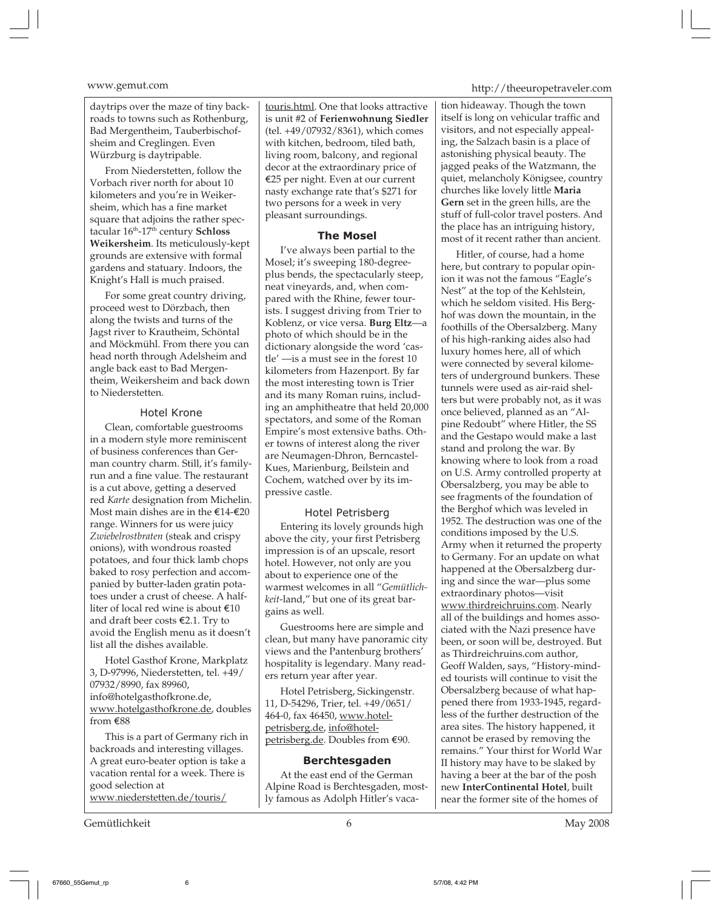daytrips over the maze of tiny backroads to towns such as Rothenburg, Bad Mergentheim, Tauberbischofsheim and Creglingen. Even Würzburg is daytripable.

From Niederstetten, follow the Vorbach river north for about 10 kilometers and you're in Weikersheim, which has a fine market square that adjoins the rather spectacular 16<sup>th</sup>-17<sup>th</sup> century **Schloss Weikersheim**. Its meticulously-kept grounds are extensive with formal gardens and statuary. Indoors, the Knight's Hall is much praised.

For some great country driving, proceed west to Dörzbach, then along the twists and turns of the Jagst river to Krautheim, Schöntal and Möckmühl. From there you can head north through Adelsheim and angle back east to Bad Mergentheim, Weikersheim and back down to Niederstetten.

# Hotel Krone

Clean, comfortable guestrooms in a modern style more reminiscent of business conferences than German country charm. Still, it's familyrun and a fine value. The restaurant is a cut above, getting a deserved red *Karte* designation from Michelin. Most main dishes are in the  $\text{\textsterling}14-\text{\textsterling}20$ range. Winners for us were juicy *Zwiebelrostbraten* (steak and crispy onions), with wondrous roasted potatoes, and four thick lamb chops baked to rosy perfection and accompanied by butter-laden gratin potatoes under a crust of cheese. A halfliter of local red wine is about  $\epsilon$ 10 and draft beer costs  $E$ 2.1. Try to avoid the English menu as it doesn't list all the dishes available.

Hotel Gasthof Krone, Markplatz 3, D-97996, Niederstetten, tel. +49/ 07932/8990, fax 89960, info@hotelgasthofkrone.de, www.hotelgasthofkrone.de, doubles from E88

This is a part of Germany rich in backroads and interesting villages. A great euro-beater option is take a vacation rental for a week. There is good selection at www.niederstetten.de/touris/

Gemütlichkeit 6 May 2008

touris.html. One that looks attractive is unit #2 of **Ferienwohnung Siedler** (tel. +49/07932/8361), which comes with kitchen, bedroom, tiled bath, living room, balcony, and regional decor at the extraordinary price of E25 per night. Even at our current nasty exchange rate that's \$271 for two persons for a week in very pleasant surroundings.

# **The Mosel**

I've always been partial to the Mosel; it's sweeping 180-degreeplus bends, the spectacularly steep, neat vineyards, and, when compared with the Rhine, fewer tourists. I suggest driving from Trier to Koblenz, or vice versa. **Burg Eltz**—a photo of which should be in the dictionary alongside the word 'castle' —is a must see in the forest 10 kilometers from Hazenport. By far the most interesting town is Trier and its many Roman ruins, including an amphitheatre that held 20,000 spectators, and some of the Roman Empire's most extensive baths. Other towns of interest along the river are Neumagen-Dhron, Berncastel-Kues, Marienburg, Beilstein and Cochem, watched over by its impressive castle.

# Hotel Petrisberg

Entering its lovely grounds high above the city, your first Petrisberg impression is of an upscale, resort hotel. However, not only are you about to experience one of the warmest welcomes in all "*Gemütlichkeit*-land," but one of its great bargains as well.

Guestrooms here are simple and clean, but many have panoramic city views and the Pantenburg brothers' hospitality is legendary. Many readers return year after year.

Hotel Petrisberg, Sickingenstr. 11, D-54296, Trier, tel. +49/0651/ 464-0, fax 46450, www.hotelpetrisberg.de, info@hotelpetrisberg.de. Doubles from €90.

# **Berchtesgaden**

At the east end of the German Alpine Road is Berchtesgaden, mostly famous as Adolph Hitler's vaca-

# www.gemut.com http://theeuropetraveler.com

tion hideaway. Though the town itself is long on vehicular traffic and visitors, and not especially appealing, the Salzach basin is a place of astonishing physical beauty. The jagged peaks of the Watzmann, the quiet, melancholy Königsee, country churches like lovely little **Maria Gern** set in the green hills, are the stuff of full-color travel posters. And the place has an intriguing history, most of it recent rather than ancient.

Hitler, of course, had a home here, but contrary to popular opinion it was not the famous "Eagle's Nest" at the top of the Kehlstein, which he seldom visited. His Berghof was down the mountain, in the foothills of the Obersalzberg. Many of his high-ranking aides also had luxury homes here, all of which were connected by several kilometers of underground bunkers. These tunnels were used as air-raid shelters but were probably not, as it was once believed, planned as an "Alpine Redoubt" where Hitler, the SS and the Gestapo would make a last stand and prolong the war. By knowing where to look from a road on U.S. Army controlled property at Obersalzberg, you may be able to see fragments of the foundation of the Berghof which was leveled in 1952. The destruction was one of the conditions imposed by the U.S. Army when it returned the property to Germany. For an update on what happened at the Obersalzberg during and since the war—plus some extraordinary photos—visit www.thirdreichruins.com. Nearly all of the buildings and homes associated with the Nazi presence have been, or soon will be, destroyed. But as Thirdreichruins.com author, Geoff Walden, says, "History-minded tourists will continue to visit the Obersalzberg because of what happened there from 1933-1945, regardless of the further destruction of the area sites. The history happened, it cannot be erased by removing the remains." Your thirst for World War II history may have to be slaked by having a beer at the bar of the posh new **InterContinental Hotel**, built near the former site of the homes of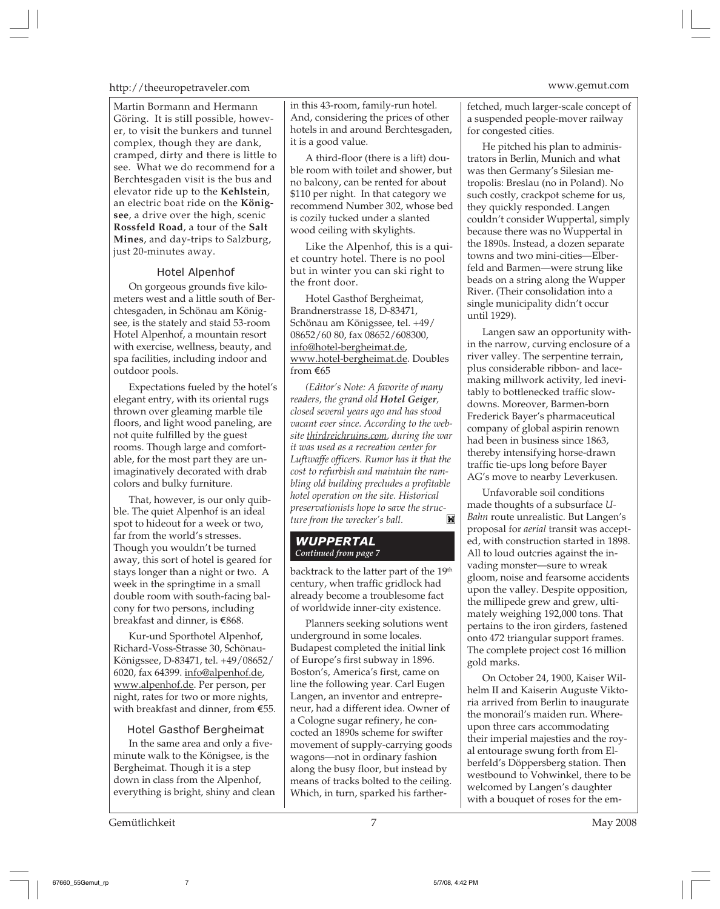# http://theeuropetraveler.com www.gemut.com

Martin Bormann and Hermann Göring. It is still possible, however, to visit the bunkers and tunnel complex, though they are dank, cramped, dirty and there is little to see. What we do recommend for a Berchtesgaden visit is the bus and elevator ride up to the **Kehlstein**, an electric boat ride on the **Königsee**, a drive over the high, scenic **Rossfeld Road**, a tour of the **Salt Mines**, and day-trips to Salzburg, just 20-minutes away.

# Hotel Alpenhof

On gorgeous grounds five kilometers west and a little south of Berchtesgaden, in Schönau am Königsee, is the stately and staid 53-room Hotel Alpenhof, a mountain resort with exercise, wellness, beauty, and spa facilities, including indoor and outdoor pools.

Expectations fueled by the hotel's elegant entry, with its oriental rugs thrown over gleaming marble tile floors, and light wood paneling, are not quite fulfilled by the guest rooms. Though large and comfortable, for the most part they are unimaginatively decorated with drab colors and bulky furniture.

That, however, is our only quibble. The quiet Alpenhof is an ideal spot to hideout for a week or two, far from the world's stresses. Though you wouldn't be turned away, this sort of hotel is geared for stays longer than a night or two. A week in the springtime in a small double room with south-facing balcony for two persons, including breakfast and dinner, is E868.

Kur-und Sporthotel Alpenhof, Richard-Voss-Strasse 30, Schönau-Königssee, D-83471, tel. +49/08652/ 6020, fax 64399. info@alpenhof.de, www.alpenhof.de. Per person, per night, rates for two or more nights, with breakfast and dinner, from E55.

# Hotel Gasthof Bergheimat

In the same area and only a fiveminute walk to the Königsee, is the Bergheimat. Though it is a step down in class from the Alpenhof, everything is bright, shiny and clean

Gemütlichkeit May 2008

in this 43-room, family-run hotel. And, considering the prices of other hotels in and around Berchtesgaden, it is a good value.

A third-floor (there is a lift) double room with toilet and shower, but no balcony, can be rented for about \$110 per night. In that category we recommend Number 302, whose bed is cozily tucked under a slanted wood ceiling with skylights.

Like the Alpenhof, this is a quiet country hotel. There is no pool but in winter you can ski right to the front door.

Hotel Gasthof Bergheimat, Brandnerstrasse 18, D-83471, Schönau am Königssee, tel. +49/ 08652/60 80, fax 08652/608300, info@hotel-bergheimat.de, www.hotel-bergheimat.de. Doubles from E65

*(Editor's Note: A favorite of many readers, the grand old Hotel Geiger, closed several years ago and has stood vacant ever since. According to the website thirdreichruins.com, during the war it was used as a recreation center for Luftwaffe officers. Rumor has it that the cost to refurbish and maintain the rambling old building precludes a profitable hotel operation on the site. Historical preservationists hope to save the structure from the wrecker's ball.*

# *WUPPERTAL Continued from page 7*

backtrack to the latter part of the 19<sup>th</sup> century, when traffic gridlock had already become a troublesome fact of worldwide inner-city existence.

Planners seeking solutions went underground in some locales. Budapest completed the initial link of Europe's first subway in 1896. Boston's, America's first, came on line the following year. Carl Eugen Langen, an inventor and entrepreneur, had a different idea. Owner of a Cologne sugar refinery, he concocted an 1890s scheme for swifter movement of supply-carrying goods wagons—not in ordinary fashion along the busy floor, but instead by means of tracks bolted to the ceiling. Which, in turn, sparked his farther-

fetched, much larger-scale concept of a suspended people-mover railway for congested cities.

He pitched his plan to administrators in Berlin, Munich and what was then Germany's Silesian metropolis: Breslau (no in Poland). No such costly, crackpot scheme for us, they quickly responded. Langen couldn't consider Wuppertal, simply because there was no Wuppertal in the 1890s. Instead, a dozen separate towns and two mini-cities—Elberfeld and Barmen—were strung like beads on a string along the Wupper River. (Their consolidation into a single municipality didn't occur until 1929).

Langen saw an opportunity within the narrow, curving enclosure of a river valley. The serpentine terrain, plus considerable ribbon- and lacemaking millwork activity, led inevitably to bottlenecked traffic slowdowns. Moreover, Barmen-born Frederick Bayer's pharmaceutical company of global aspirin renown had been in business since 1863, thereby intensifying horse-drawn traffic tie-ups long before Bayer AG's move to nearby Leverkusen.

Unfavorable soil conditions made thoughts of a subsurface *U-Bahn* route unrealistic. But Langen's proposal for *aerial* transit was accepted, with construction started in 1898. All to loud outcries against the invading monster—sure to wreak gloom, noise and fearsome accidents upon the valley. Despite opposition, the millipede grew and grew, ultimately weighing 192,000 tons. That pertains to the iron girders, fastened onto 472 triangular support frames. The complete project cost 16 million gold marks.

On October 24, 1900, Kaiser Wilhelm II and Kaiserin Auguste Viktoria arrived from Berlin to inaugurate the monorail's maiden run. Whereupon three cars accommodating their imperial majesties and the royal entourage swung forth from Elberfeld's Döppersberg station. Then westbound to Vohwinkel, there to be welcomed by Langen's daughter with a bouquet of roses for the em-